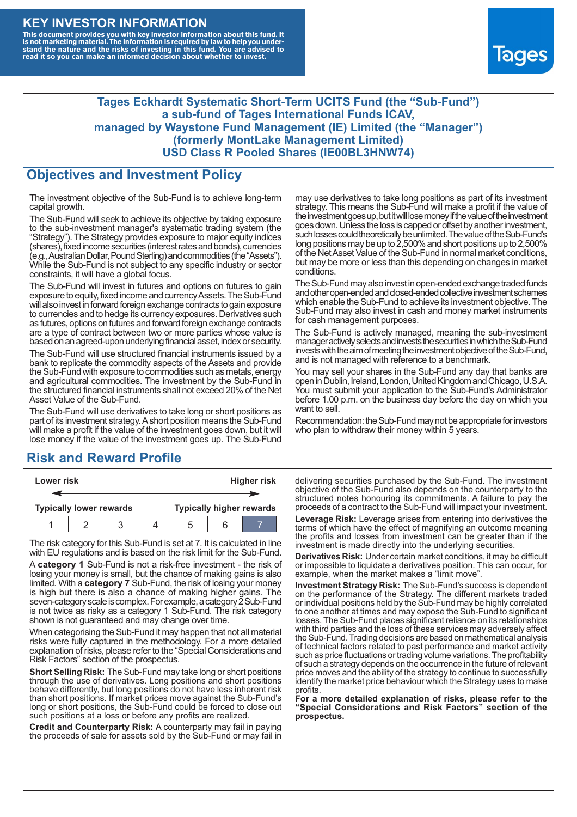### **KEY INVESTOR INFORMATION**

This document provides you with key investor information about this fund. It<br>is not marketing material. The information is required by law to help you under-<br>stand the nature and the risks of investing in this fund. You ar



#### **Tages Eckhardt Systematic Short-Term UCITS Fund (the "Sub-Fund") a sub-fund of Tages International Funds ICAV, managed by Waystone Fund Management (IE) Limited (the "Manager") (formerly MontLake Management Limited) USD Class R Pooled Shares (IE00BL3HNW74)**

### **Objectives and Investment Policy**

The investment objective of the Sub-Fund is to achieve long-term capital growth.

The Sub-Fund will seek to achieve its objective by taking exposure to the sub-investment manager's systematic trading system (the "Strategy"). The Strategy provides exposure to major equity indices (shares),fixed income securities (interest rates and bonds), currencies (e.g.,AustralianDollar,PoundSterling)and commodities (the "Assets"). While the Sub-Fund is not subject to any specific industry or sector constraints, it will have a global focus.

The Sub-Fund will invest in futures and options on futures to gain exposure to equity, fixed income and currency Assets. The Sub-Fund will also invest in forward foreign exchange contracts to gain exposure to currencies and to hedge its currency exposures. Derivatives such as futures, options on futures and forward foreign exchange contracts are a type of contract between two or more parties whose value is based on an agreed-upon underlying financial asset, index or security.

The Sub-Fund will use structured financial instruments issued by a bank to replicate the commodity aspects of the Assets and provide the Sub-Fund with exposure to commodities such as metals, energy and agricultural commodities. The investment by the Sub-Fund in the structured financial instruments shall not exceed 20% of the Net Asset Value of the Sub-Fund.

The Sub-Fund will use derivatives to take long or short positions as part of its investment strategy.A short position means the Sub-Fund will make a profit if the value of the investment goes down, but it will lose money if the value of the investment goes up. The Sub-Fund

# **Risk and Reward Profile**

| Lower risk                     |  |  |  | Higher risk                     |  |  |
|--------------------------------|--|--|--|---------------------------------|--|--|
|                                |  |  |  |                                 |  |  |
| <b>Typically lower rewards</b> |  |  |  | <b>Typically higher rewards</b> |  |  |
|                                |  |  |  | :5                              |  |  |

The risk category for this Sub-Fund is set at 7. It is calculated in line with EU regulations and is based on the risk limit for the Sub-Fund.

A **category 1** Sub-Fund is not a risk-free investment - the risk of losing your money is small, but the chance of making gains is also limited. With a **category 7** Sub-Fund, the risk of losing your money is high but there is also a chance of making higher gains. The seven-category scale is complex. For example, a category 2 Sub-Fund is not twice as risky as a category 1 Sub-Fund. The risk category shown is not guaranteed and may change over time.

When categorising the Sub-Fund it may happen that not all material risks were fully captured in the methodology. For a more detailed explanation of risks, please refer to the "Special Considerations and Risk Factors" section of the prospectus.

**Short Selling Risk:** The Sub-Fund may take long or short positions through the use of derivatives. Long positions and short positions behave differently, but long positions do not have less inherent risk than short positions. If market prices move against the Sub-Fund's long or short positions, the Sub-Fund could be forced to close out such positions at a loss or before any profits are realized.

**Credit and Counterparty Risk:** A counterparty may fail in paying the proceeds of sale for assets sold by the Sub-Fund or may fail in may use derivatives to take long positions as part of its investment strategy. This means the Sub-Fund will make a profit if the value of the investment goes up, but it will lose money if the value of the investment goes down. Unless the loss is capped or offset by another investment, such losses could theoretically be unlimited. The value of the Sub-Fund's long positions may be up to 2,500% and short positions up to 2,500% of the NetAsset Value of the Sub-Fund in normal market conditions, but may be more or less than this depending on changes in market conditions.

The Sub-Fund may also invest in open-ended exchange traded funds and other open-ended and closed-ended collective investment schemes which enable the Sub-Fund to achieve its investment objective. The Sub-Fund may also invest in cash and money market instruments for cash management purposes.

The Sub-Fund is actively managed, meaning the sub-investment manager actively selects and invests the securities in which the Sub-Fund invests with the aim of meeting the investment objective of the Sub-Fund, and is not managed with reference to a benchmark.

You may sell your shares in the Sub-Fund any day that banks are open in Dublin, Ireland, London, United Kingdom and Chicago, U.S.A. You must submit your application to the Sub-Fund's Administrator before 1.00 p.m. on the business day before the day on which you want to sell.

Recommendation: the Sub-Fund may not be appropriate for investors who plan to withdraw their money within 5 years.

delivering securities purchased by the Sub-Fund. The investment objective of the Sub-Fund also depends on the counterparty to the structured notes honouring its commitments. A failure to pay the proceeds of a contract to the Sub-Fund will impact your investment.

**Leverage Risk:** Leverage arises from entering into derivatives the terms of which have the effect of magnifying an outcome meaning the profits and losses from investment can be greater than if the investment is made directly into the underlying securities.

**Derivatives Risk:** Under certain market conditions, it may be difficult or impossible to liquidate a derivatives position. This can occur, for example, when the market makes a "limit move".

**Investment Strategy Risk:** The Sub-Fund's success is dependent on the performance of the Strategy. The different markets traded or individual positions held by the Sub-Fund may be highly correlated to one another at times and may expose the Sub-Fund to significant losses. The Sub-Fund places significant reliance on its relationships with third parties and the loss of these services may adversely affect the Sub-Fund. Trading decisions are based on mathematical analysis of technical factors related to past performance and market activity such as price fluctuations or trading volume variations. The profitability of such a strategy depends on the occurrence in the future of relevant price moves and the ability of the strategy to continue to successfully identify the market price behaviour which the Strategy uses to make profits.

**For a more detailed explanation of risks, please refer to the "Special Considerations and Risk Factors" section of the prospectus.**